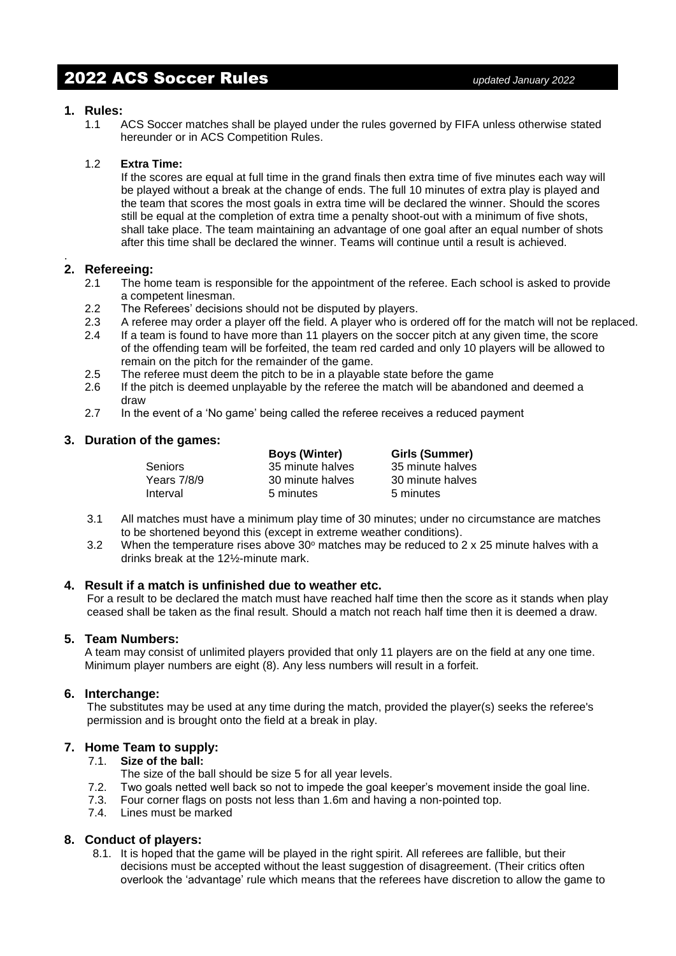# 2022 ACS Soccer Rules *updated January 2022*

### **1. Rules:**

1.1 ACS Soccer matches shall be played under the rules governed by FIFA unless otherwise stated hereunder or in ACS Competition Rules.

### 1.2 **Extra Time:**

If the scores are equal at full time in the grand finals then extra time of five minutes each way will be played without a break at the change of ends. The full 10 minutes of extra play is played and the team that scores the most goals in extra time will be declared the winner. Should the scores still be equal at the completion of extra time a penalty shoot-out with a minimum of five shots, shall take place. The team maintaining an advantage of one goal after an equal number of shots after this time shall be declared the winner. Teams will continue until a result is achieved.

#### . **2. Refereeing:**

- 2.1 The home team is responsible for the appointment of the referee. Each school is asked to provide a competent linesman.
- 2.2 The Referees' decisions should not be disputed by players.
- 2.3 A referee may order a player off the field. A player who is ordered off for the match will not be replaced.
- 2.4 If a team is found to have more than 11 players on the soccer pitch at any given time, the score of the offending team will be forfeited, the team red carded and only 10 players will be allowed to remain on the pitch for the remainder of the game.
- 2.5 The referee must deem the pitch to be in a playable state before the game
- 2.6 If the pitch is deemed unplayable by the referee the match will be abandoned and deemed a draw
- 2.7 In the event of a 'No game' being called the referee receives a reduced payment

### **3. Duration of the games:**

|                | <b>Boys (Winter)</b> | Girls (Summer)   |
|----------------|----------------------|------------------|
| <b>Seniors</b> | 35 minute halves     | 35 minute halves |
| Years 7/8/9    | 30 minute halves     | 30 minute halves |
| Interval       | 5 minutes            | 5 minutes        |

- 3.1 All matches must have a minimum play time of 30 minutes; under no circumstance are matches to be shortened beyond this (except in extreme weather conditions).
- 3.2 When the temperature rises above  $30^{\circ}$  matches may be reduced to 2 x 25 minute halves with a drinks break at the 12½-minute mark.

### **4. Result if a match is unfinished due to weather etc.**

For a result to be declared the match must have reached half time then the score as it stands when play ceased shall be taken as the final result. Should a match not reach half time then it is deemed a draw.

### **5. Team Numbers:**

A team may consist of unlimited players provided that only 11 players are on the field at any one time. Minimum player numbers are eight (8). Any less numbers will result in a forfeit.

### **6. Interchange:**

The substitutes may be used at any time during the match, provided the player(s) seeks the referee's permission and is brought onto the field at a break in play.

## **7. Home Team to supply:**

### 7.1. **Size of the ball:**

- The size of the ball should be size 5 for all year levels.
- 7.2. Two goals netted well back so not to impede the goal keeper's movement inside the goal line.
- 7.3. Four corner flags on posts not less than 1.6m and having a non-pointed top.
- 7.4. Lines must be marked

## **8. Conduct of players:**

8.1. It is hoped that the game will be played in the right spirit. All referees are fallible, but their decisions must be accepted without the least suggestion of disagreement. (Their critics often overlook the 'advantage' rule which means that the referees have discretion to allow the game to